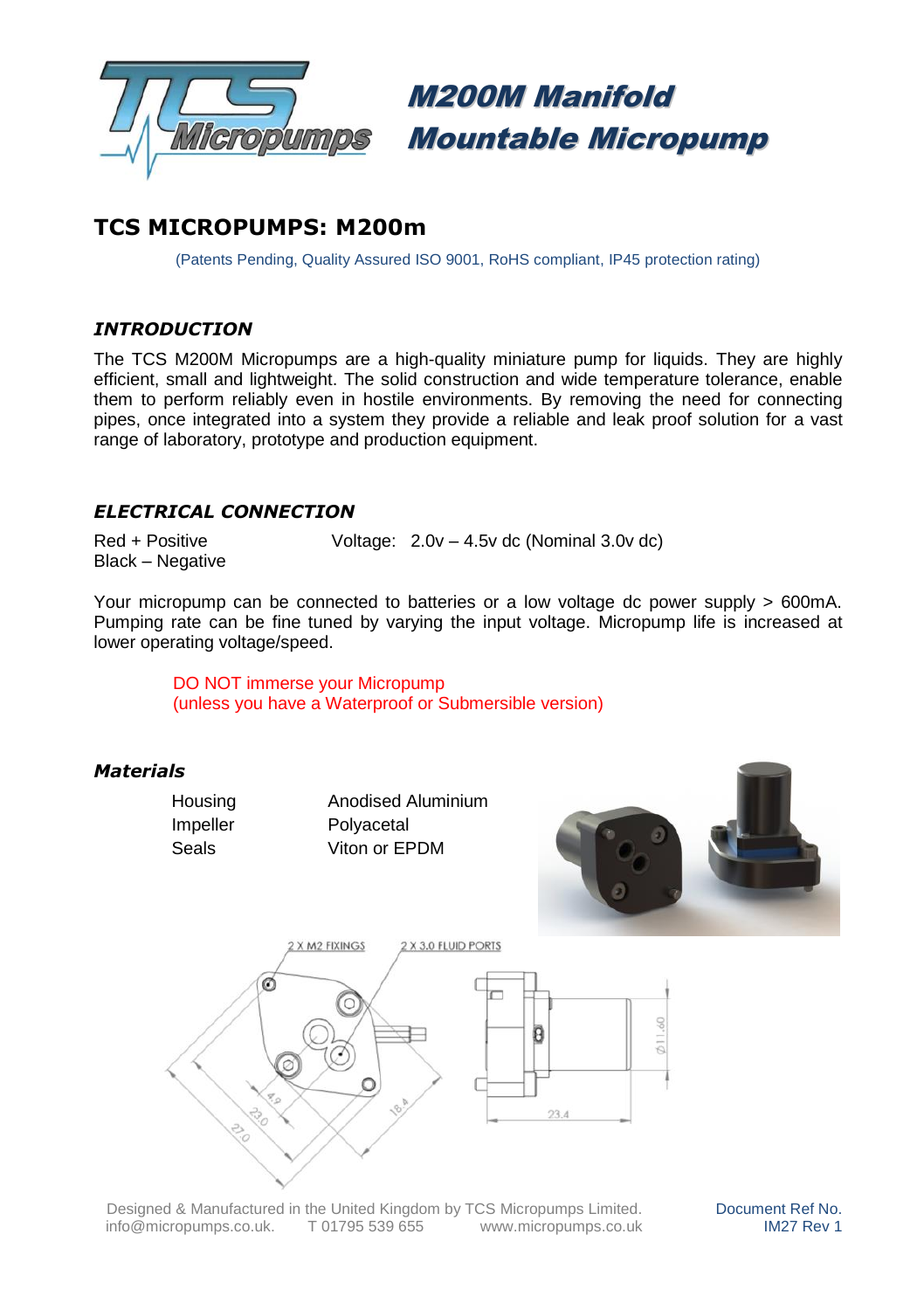

M200M Manifold Mountable Micropump

# **TCS MICROPUMPS: M200m**

(Patents Pending, Quality Assured ISO 9001, RoHS compliant, IP45 protection rating)

## *INTRODUCTION*

The TCS M200M Micropumps are a high-quality miniature pump for liquids. They are highly efficient, small and lightweight. The solid construction and wide temperature tolerance, enable them to perform reliably even in hostile environments. By removing the need for connecting pipes, once integrated into a system they provide a reliable and leak proof solution for a vast range of laboratory, prototype and production equipment.

## *ELECTRICAL CONNECTION*

Black – Negative

Red + Positive Voltage: 2.0v – 4.5v dc (Nominal 3.0v dc)

Your micropump can be connected to batteries or a low voltage dc power supply > 600mA. Pumping rate can be fine tuned by varying the input voltage. Micropump life is increased at lower operating voltage/speed.

> DO NOT immerse your Micropump (unless you have a Waterproof or Submersible version)

#### *Materials*

Housing Anodised Aluminium Impeller Polyacetal Seals **Viton or EPDM** 





Designed & Manufactured in the United Kingdom by TCS Micropumps Limited. info@micropumps.co.uk. T 01795 539 655 www.micropumps.co.uk Document Ref No. IM27 Rev 1